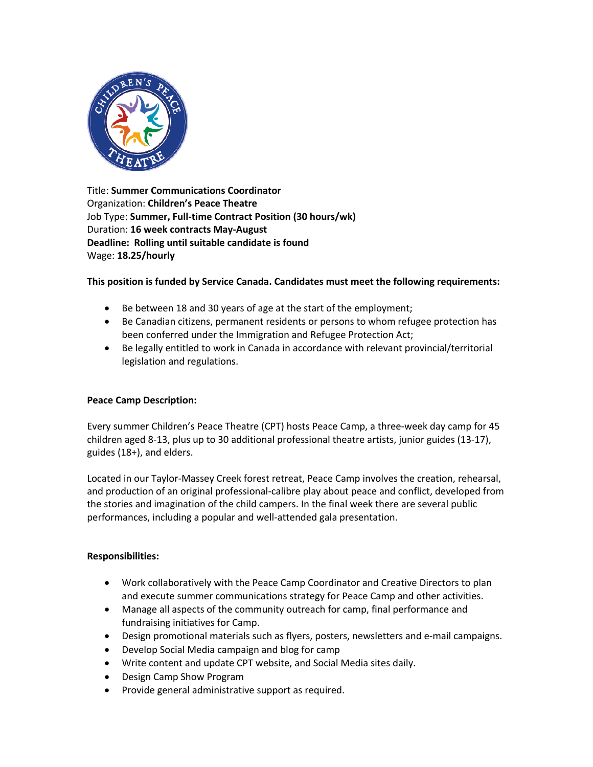

Title: **Summer Communications Coordinator** Organization: **Children's Peace Theatre** Job Type: **Summer, Full-time Contract Position (30 hours/wk)** Duration: **16 week contracts May-August Deadline: Rolling until suitable candidate is found** Wage: **18.25/hourly**

# **This position is funded by Service Canada. Candidates must meet the following requirements:**

- Be between 18 and 30 years of age at the start of the employment;
- Be Canadian citizens, permanent residents or persons to whom refugee protection has been conferred under the Immigration and Refugee Protection Act;
- Be legally entitled to work in Canada in accordance with relevant provincial/territorial legislation and regulations.

### **Peace Camp Description:**

Every summer Children's Peace Theatre (CPT) hosts Peace Camp, a three-week day camp for 45 children aged 8-13, plus up to 30 additional professional theatre artists, junior guides (13-17), guides (18+), and elders.

Located in our Taylor-Massey Creek forest retreat, Peace Camp involves the creation, rehearsal, and production of an original professional-calibre play about peace and conflict, developed from the stories and imagination of the child campers. In the final week there are several public performances, including a popular and well-attended gala presentation.

### **Responsibilities:**

- Work collaboratively with the Peace Camp Coordinator and Creative Directors to plan and execute summer communications strategy for Peace Camp and other activities.
- Manage all aspects of the community outreach for camp, final performance and fundraising initiatives for Camp.
- Design promotional materials such as flyers, posters, newsletters and e-mail campaigns.
- Develop Social Media campaign and blog for camp
- Write content and update CPT website, and Social Media sites daily.
- Design Camp Show Program
- Provide general administrative support as required.